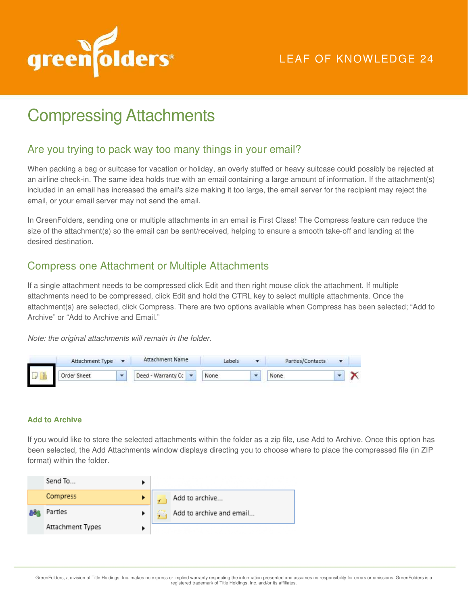

# Compressing Attachments

### Are you trying to pack way too many things in your email?

When packing a bag or suitcase for vacation or holiday, an overly stuffed or heavy suitcase could possibly be rejected at an airline check-in. The same idea holds true with an email containing a large amount of information. If the attachment(s) included in an email has increased the email's size making it too large, the email server for the recipient may reject the email, or your email server may not send the email.

In GreenFolders, sending one or multiple attachments in an email is First Class! The Compress feature can reduce the size of the attachment(s) so the email can be sent/received, helping to ensure a smooth take-off and landing at the desired destination.

## Compress one Attachment or Multiple Attachments

If a single attachment needs to be compressed click Edit and then right mouse click the attachment. If multiple attachments need to be compressed, click Edit and hold the CTRL key to select multiple attachments. Once the attachment(s) are selected, click Compress. There are two options available when Compress has been selected; "Add to Archive" or "Add to Archive and Email."

*Note: the original attachments will remain in the folder.* 



#### **Add to Archive**

If you would like to store the selected attachments within the folder as a zip file, use Add to Archive. Once this option has been selected, the Add Attachments window displays directing you to choose where to place the compressed file (in ZIP format) within the folder.

| Send To          |  |                          |
|------------------|--|--------------------------|
| Compress         |  | Add to archive           |
| Parties          |  | Add to archive and email |
| Attachment Types |  |                          |